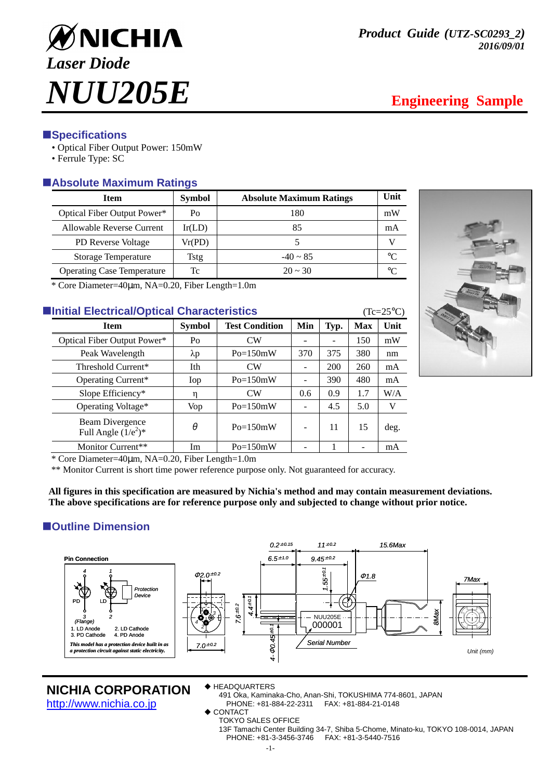

# **ESpecifications**

- Optical Fiber Output Power: 150mW
- Ferrule Type: SC

# -**Absolute Maximum Ratings**

| <b>Item</b>                       | <b>Symbol</b> | <b>Absolute Maximum Ratings</b> | Unit |
|-----------------------------------|---------------|---------------------------------|------|
| Optical Fiber Output Power*       | Po            | 180                             | mW   |
| Allowable Reverse Current         | Ir(LD)        | 85                              | mA   |
| <b>PD</b> Reverse Voltage         | Vr(PD)        |                                 |      |
| <b>Storage Temperature</b>        | Tstg          | $-40 \sim 85$                   | °∩   |
| <b>Operating Case Temperature</b> | Tc            | $20 \approx 30$                 | °∩   |

\* Core Diameter=40µm, NA=0.20, Fiber Length=1.0m

# **Example 25 Initial Electrical/Optical Characteristics** (Tc=25°C)

| <b>Item</b>                               | <b>Symbol</b> | <b>Test Condition</b> | Min               | Typ. | <b>Max</b> | Unit |
|-------------------------------------------|---------------|-----------------------|-------------------|------|------------|------|
| Optical Fiber Output Power*               | Po            | CW                    |                   |      | 150        | mW   |
| Peak Wavelength                           | $\lambda p$   | $Po=150mW$            | 370               | 375  | 380        | nm   |
| Threshold Current*                        | Ith           | CW                    | $\qquad \qquad -$ | 200  | 260        | mA   |
| Operating Current*                        | Iop           | $Po=150mW$            | $\qquad \qquad -$ | 390  | 480        | mA   |
| Slope Efficiency*                         | η             | <b>CW</b>             | 0.6               | 0.9  | 1.7        | W/A  |
| Operating Voltage*                        | <b>Vop</b>    | $Po=150mW$            |                   | 4.5  | 5.0        | V    |
| Beam Divergence<br>Full Angle $(1/e^2)^*$ | θ             | $Po=150mW$            |                   | 11   | 15         | deg. |
| Monitor Current**                         | Im            | $Po=150mW$            |                   |      |            | mA   |
|                                           |               |                       |                   |      |            |      |



\* Core Diameter=40µm, NA=0.20, Fiber Length=1.0m

\*\* Monitor Current is short time power reference purpose only. Not guaranteed for accuracy.

**All figures in this specification are measured by Nichia's method and may contain measurement deviations. The above specifications are for reference purpose only and subjected to change without prior notice.** 

# $\blacksquare$  Outline Dimension



**NICHIA CORPORATION**

http://www.nichia.co.jp

#### **◆ HEADQUARTERS**

491 Oka, Kaminaka-Cho, Anan-Shi, TOKUSHIMA 774-8601, JAPAN PHONE: +81-884-22-2311 FAX: +81-884-21-0148

- $\triangle$  CONTACT
- TOKYO SALES OFFICE
	- 13F Tamachi Center Building 34-7, Shiba 5-Chome, Minato-ku, TOKYO 108-0014, JAPAN PHONE: +81-3-3456-3746 FAX: +81-3-5440-7516